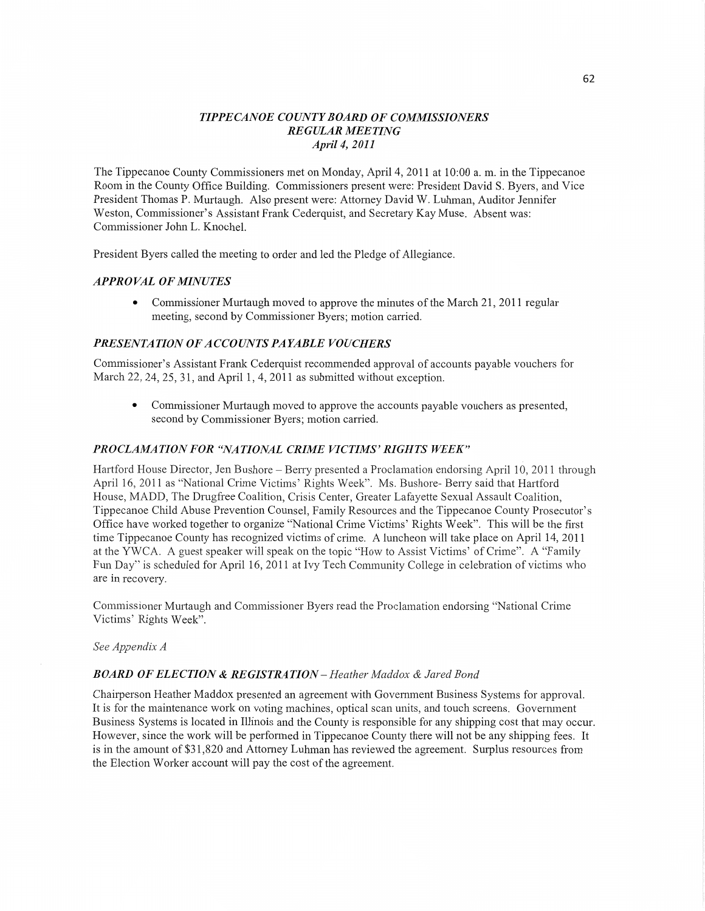# *TIPPE CANOE COUNT Y BOARD* OF *COMMISSIONERS REGULAR MEETING April* 4, *2011*

The Tippecanoe County Commissioners met on Monday, April 4, 2011 at 10:00 a. m. in the Tippecanoe Room in the County Office Building. Commissioners present were: President David S. Byers, and **Vice**  President **Thomas** P. Murtaugh. Also present were: Attorney David W. Luhman, Auditor Jennifer Weston, Commissioner's Assistant Frank Cederquist, and Secretary Kay Muse. Absent was: Commissioner John L. Knochel.

President Byers called the meeting to order and led the Pledge of Allegiance.

# *APPROVAL* OF *MINUTES*

**0** Commissioner Murtaugh moved to approve the minutes of the March 21, 2011 regular meeting, second by Commissioner Byers; motion carried.

## *PRESEN T A T I* 0N OF *A C* CO UN *T S* PA *YABLE* V0 *UCHERS*

Commissioner's Assistant Frank Cederquist recommended approval of accounts payable vouchers for March 22, 24, 25, 31, and April 1, 4, 2011 as submitted without exception.

**0** Commissioner Murtaugh moved to approve the accounts payable vouchers as presented, **second** by Commissioner Byers; motion carried.

#### **PROCLAMATION FOR "NATIONAL CRIME VICTIMS' RIGHTS WEEK"**

Hartford House Director, Jen Bushore — Berry presented a Proclamation endorsing April 10, 2011 through April 16, 2011 as "National Crime Victims' Rights Week". Ms. Bushore— Ben'y said that Hartford House, MADD, The Drugfree Coalition, Crisis Center, Greater Lafayette Sexual Assault Coalition, Tippecanoe Child Abuse Prevention Counsel, Family Resources and the Tippecanoe County Prosecutor's Office have worked together to organize "National Crime Victims' Rights Week". This will be the first time Tippecanoe County has recognized victims of crime. A luncheon will take place on April 14, 2011 at the YWCA. A guest speaker will speak on the topic "How to Assist Victims' of Crime". A "Family Fun Day" is scheduled for April 16, 2011 at Ivy Tech Community College in celebration of victims who are in recovery.

Commissioner Multaugh and Commissioner Byers read the Proclamation endorsing "National Crime Victims' Rights Week".

#### See *Appendix A*

#### *BOARD* OF *ELECTION &* RE *GISTRA* TI 0N — *Heather Maddox & Jared Bond*

Chairperson Heather Maddox presented an agreement with Government Business Systems for approval. It is for the maintenance work on voting machines, optical scan units, and touch screens. Government Business Systems is located in Illinois and the County is responsible for any **shipping cost** that may occur. However, since the work will be performed in Tippecanoe County there will not be any shipping fees. It is in the amount of \$31,820 and Attorney Luhman has reviewed the agreement. Surplus resources from the Election Worker account will pay the cost of the agreement.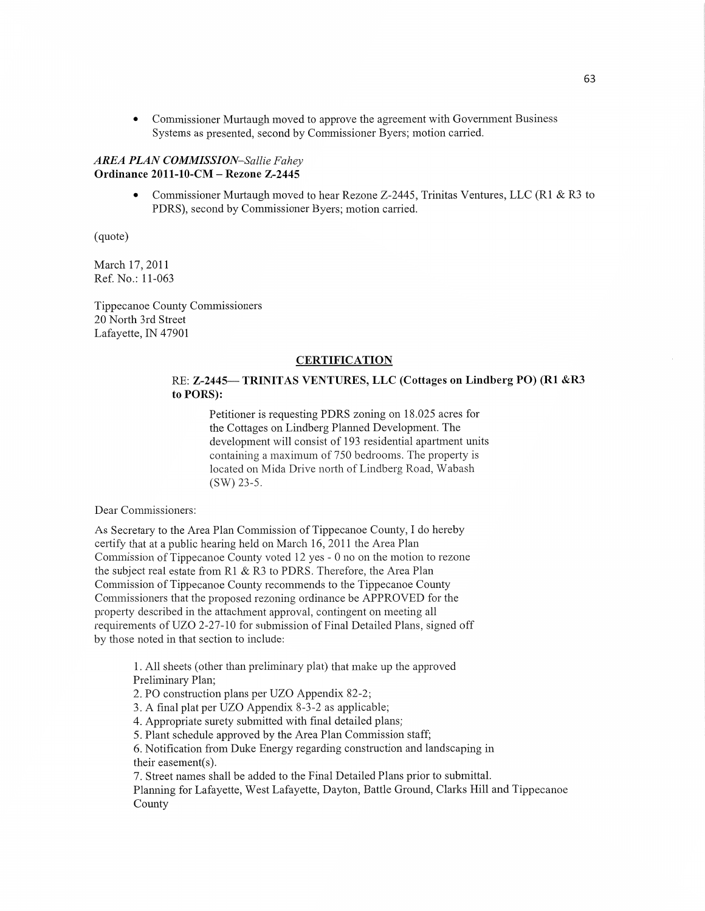**0** Commissioner Mufiaugh moved to approve the agreement with Government Business Systems as presented, second by Commissioner Byers; motion carried.

#### *AREA PLAN COMMISSION—Sallie F ahey*  **Ordinance 2011-10-CM — Rezone Z—2445**

• Commissioner Murtaugh moved to hear Rezone Z-2445, Trinitas Ventures, LLC (R1 & R3 to PDRS), second by Commissioner Byers; motion carried.

(quote)

March 17, 2011 Ref. No.: 11-063

Tippecanoe County Commissioners 20 North 3rd Street Lafayette, IN 47901

# **CERTIFICATION**

# RE: **Z—2445—** TRINIT AS **VENTURES,** LLC (Cottages on Lindberg PO) (R1 &R3 to **PORS):**

Petitioner is requesting PDRS zoning on 18.025 acres for the Cottages on Lindberg Planned Development. The development will consist of 193 residential apartment units containing **a** maximum of 750 bedrooms. The property is located on Mida Drive north of Lindberg Road, Wabash (SW) 23-5.

Dear Commissioners:

As Secretary to the Area Plan Commission of Tippecanoe County, **I** do hereby certify that at a public hearing held on March 16, 2011 the Area Plan Commission of Tippecanoe County voted 12 yes *-* 0 no on the motion to rezone the subject real estate from R1 & R3 to PDRS. Therefore, the Area Plan Commission of Tippecanoe County recommends to the Tippecanoe County Commissioners that the proposed rezoning ordinance be APPROVED for the property described in the attachment approval, contingent on meeting all requirements of UZO 2-27-10 for submission of Final Detailed Plans, signed off by those noted in that section to include:

> 1. All sheets (other than preliminary plat) that make up the approved Preliminary Plan;

2. PO construction plans per UZO Appendix 82-2;

3. A final plat per UZO Appendix 8—3-2 as applicable;

4. Appropriate surety submitted with final detailed plans;

5. Plant schedule approved by the Area Plan Commission staff;

6. Notification from Duke Energy regarding construction and landscaping in their easement(s).

7. Street names shall be added to the Final Detailed Plans prior to submittal. **Planning** for Lafayette, West Lafayette, Dayton, Battle Ground, Clarks **Hill** and Tippecanoe County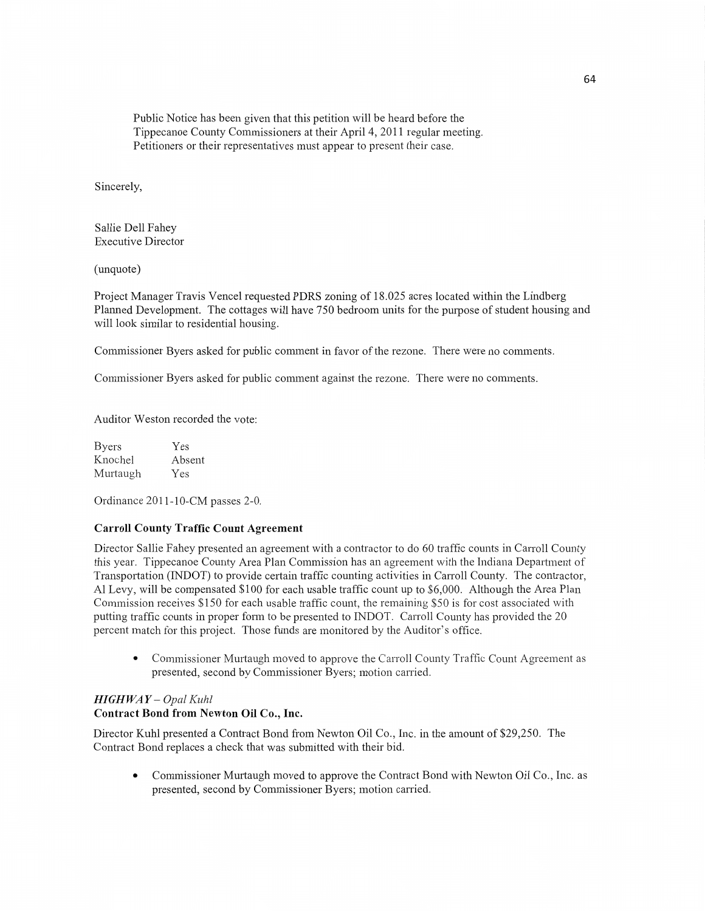Public Notice has been given that this petition will be heard before the Tippecanoe County **Commissioners** at **their** April 4, 2011 regular meeting. Petitioners or their representatives must appear to present their case.

Sincerely,

Sallie Dell Fahey Executive Director

(unquote)

Project Manager Travis Vencel requested PDRS zoning of 18.025 acres located Within the Lindberg Flamed Development. The cottages Will have 750 bedroom units for the purpose of student housing and will look similar to residential housing.

Commissioner Byers asked for public comment in favor of the rezone. There were no comments.

Commissioner Byers asked for **public** comment against the rezone. There were no comments.

Auditor Weston recorded the vote:

Byers Yes Knochel Absent Murtaugh Yes

Ordinance 2011-10-CM passes 2-0.

# Carroll **County Traffic Count Agreement**

Director Sallie Fahey presented an agreement with a contractor to do 60 traffic counts in Carroll County this year. Tippecanoe County Axea Plan Commission has an agreement with the Indiana Department of Transportation (INDOT) to provide certain traffic counting activities in Carroll County. The contractor, A1 Levy, will be compensated \$100 for each usable traffic count up to \$6,000. Although the Area Plan Commission receives \$150 for each usable traffic count, the remaining \$50 is for cost associated with putting traffic counts in proper form to be presented to INDOT. Carroll County has provided the 20 percent match for this project. Those funds are monitored by the Auditor's office.

• Commissioner Murtaugh moved to approve the Carroll County Traffic Count Agreement as presented, second by Commissioner Byers; motion carried.

#### *HIGH* WA *Y* — *Opal Kuhl*  **Contract Bond** from **Newton** Oil **Co., Inc.**

Director Kuhl presented a Contract Bond from Newton Oil Co., Inc. in the amount of \$29,250. The Contract Bond replaces a check that was submitted with their bid.

**I** Commissioner Murtaugh moved to approve the Contract Bond with Newton Oil **Co., Inc.** as presented, second by Commissioner Byers; **motion** carried.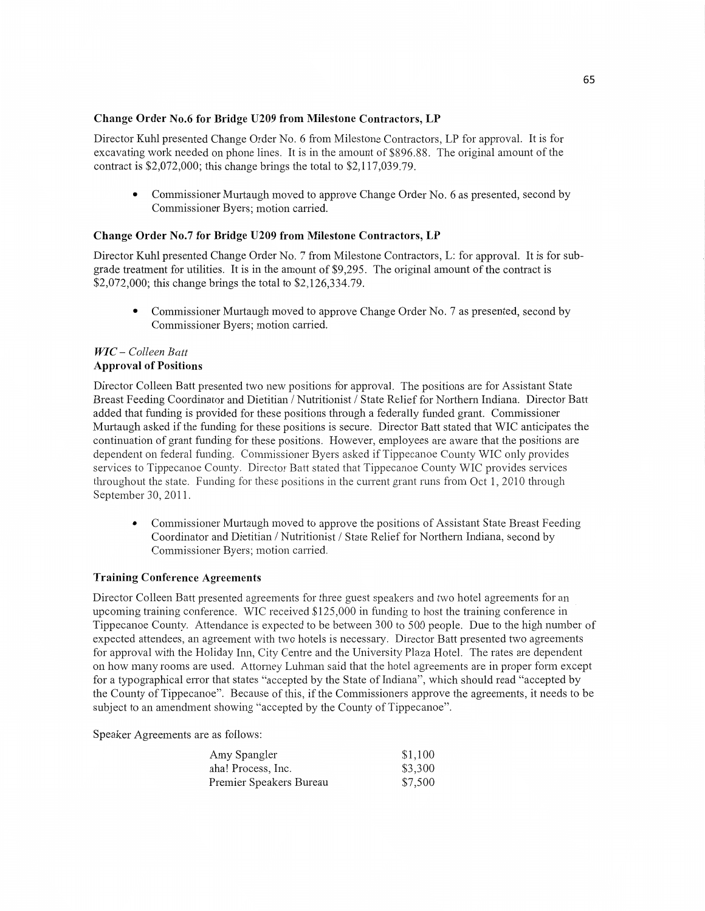#### **Change** Order **No.6** for **Bridge U209** from Milestone **Contractors,** LP

Director Kuhl presented Change Order No. 6 from Milestone Contractors, LP for approval. It is for excavating work needed on phone lines. It is in the amount of \$896.88. The original amount of the contract is \$2,072,000; this change brings the **total** to \$2,117,039.79.

**0** Commissioner Murtaugh moved to approve Change Order No. 6 as presented, second by Commissioner Byers; motion carried.

## **Change Order No.7** for Bridge **U209** from **Milestone Contractors,** LP

Director Kuhl presented Change Order No. 7 from Milestone Contractors, L: for approval. It is for subgrade treatment for utilities. It is in the amount of \$9,295. The original **amount** of the contract is \$2,072,000; this change brings the total to \$2,126,334.79.

*.* Commissioner Murtaugh **moved** to approve Change Order No. 7 as presented, second by Commissioner Byers; **motion carried.** 

#### WIC - Colleen Batt **Approval** of Positions

Director Colleen Batt presented two new positions for approval. The positions are for Assistant State Breast Feeding Coordinator and Dietitian **/** Nutritionist */* State Relief for Northern Indiana. Director Batt added that funding is provided for these positions through a federally funded grant. **Commissioner**  Murtaugh asked if the funding for these positions is secure. Director Batt stated **that** WIC anticipates the continuation of grant funding for these positions. However, employees are aware that the positions are dependent on federal funding. Commissioner Byers asked if Tippecanoe County WIC only provides services to Tippecanoe County. Director Batt stated that Tippecanoe County WIC provides services throughout the state. Funding for these positions in the current grant runs from Oct 1, 2010 through September 30, 2011.

Commissioner Murtaugh moved to approve the positions of Assistant State Breast Feeding Coordinator and Dietitian / Nutritionist / State Relief for Northern Indiana, second by Commissioner Byers; motion carried.

#### **Training Conference Agreements**

Director Colleen Batt presented agreements for three guest speakers and two hotel agreements for an *\_* upcoming training conference. WIC received \$125 ,000 in funding to host the training conference in Tippecanoe County. Attendance is expected to be between 300 to 500 people. Due to the high number of expected attendees, an agreement with two hotels is necessary. Director Batt presented two agreements for approval with the Holiday Inn, City Centre and the University Plaza Hotel. The rates are dependent on how many rooms are used. Attomey Luhman said that the hotel agreements are in proper form except for a typographical error that **states** "accepted by the State of Indiana", which should read "accepted by the County of Tippecanoe". Because of this, if the Commissioners approve the agreements, it needs to be subject to an amendment showing "accepted by the County of Tippecanoe".

Speaker Agreements are as follows:

| Amy Spangler            | \$1,100 |
|-------------------------|---------|
| aha! Process, Inc.      | \$3,300 |
| Premier Speakers Bureau | \$7,500 |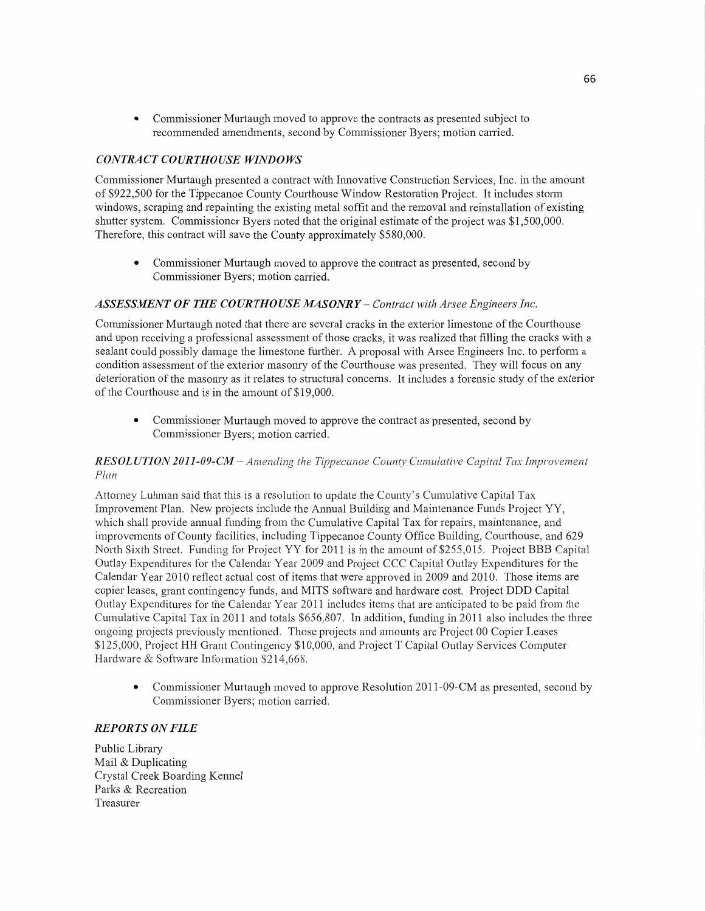**0** Commissioner Murtaugh moved to approve the contracts as presented subject to recommended amendments, second by Commissioner Byers; **motion** carried.

# *CONTRACT COURTHOUSE WINDOWS*

Commissioner Murtaugh presented a contract with Innovative Construction Services, **Inc.** in the amount of \$922,500 for the Tippecanoe County Courthouse Window Restoration Project. It includes **stonn**  Windows, scraping and repainting the existing metal soffit and the removal and reinstallation of existing shutter system. Commissioner Byers noted that the original estimate of the project was \$1,500,000. Therefore, this contract will save the County approximately \$580,000.

**0** Commissioner Murtaugh moved to approve the contract as presented, second by Commissioner Byers; **motion** carried.

## *ASSESSMENT* OF THE *COURTHOUSE MASONRY* **—** *Contract with Arsee Engineers Inc.*

Commissioner Murtaugh noted **that** there are several cracks in the exterior limestone of the Courthouse and upon receiving a professional assessment of **those** cracks, it was realized that filling the cracks with a sealant could possibly damage the limestone fuflher. **A** proposal with Arsee Engineers Inc. to perform **<sup>a</sup>** condition assessment of the exterior masonry of the Courthouse was presented. They will focus on any deterioration of the masonry as it relates to structural concerns. It includes a forensic study of the exterior of the Courthouse and is in the **amount** of \$19,000.

• Commissioner Murtaugh moved to approve the contract as presented, second by Commissioner Byers; motion carried.

# *RESOLUTION 2011-09-CM —Amending* the *Tippecanoe County Cumulative Capital* Tax *Improvement Plan*

Attorney Luhman said that this is a resolution to update the County's Cumulative Capital Tax Improvement Plan. New projects include the A1mua1 Building and Maintenance Funds Project YY, which shall provide annual funding from the Cumulative Capital Tax for repairs, maintenance, and improvements of County facilities, including Tippecanoe County Office Building, Courthouse, and 629 North Sixth Street. Funding for Project YY for 2011 is in the amount of \$255,015. Project BBB Capital Outlay Expenditures for the Calendar Year 2009 and Project CCC Capital Outlay Expenditures for the Calendar Year 2010 reflect actual cost of items that were approved in 2009 and 2010. Those items are copier leases, grant contingency funds, and **MITS** software and hardware cost. Project DDD Capital Outlay Expenditures for the Calendar Year 2011 includes items that are anticipated to be paid from the Cumulative Capital Tax in 2011 and totals \$656,807. In addition, funding in 2011 also includes the three ongoing projects previously mentioned. Those projects and amounts are Project 00 Copier Leases \$125,000, Project HH Grant Contingency \$10,000, and Project **T** Capital Outlay Services Computer Hardware & Software Information \$214,668.

• Commissioner Murtaugh moved to approve Resolution 2011-09-CM as presented, second by Commissioner Byers; motion carried.

#### *REPORTS* ON *FILE*

Public Library Mail & Duplicating Crystal Creek Boarding Kennel Parks & Recreation Treasurer